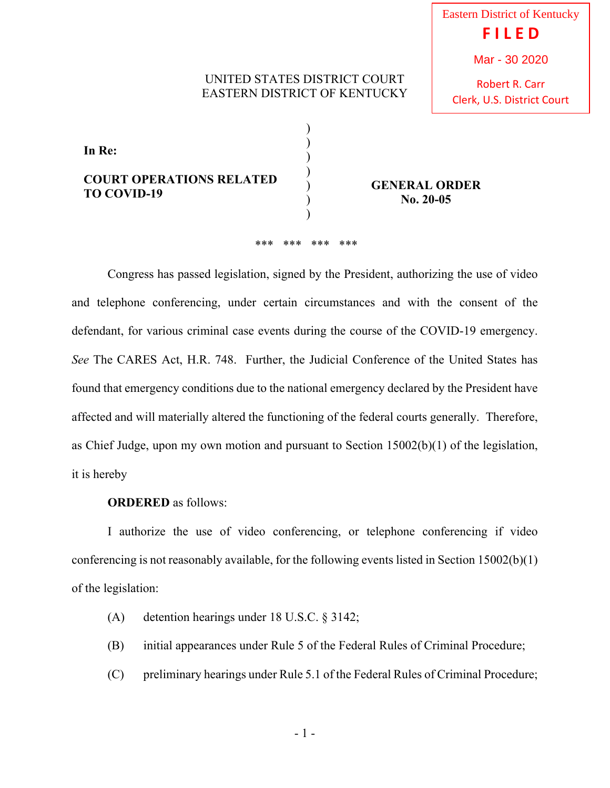## UNITED STATES DISTRICT COURT EASTERN DISTRICT OF KENTUCKY

) ) ) ) ) ) ) Eastern District of Kentucky **F I L E D** Mar - 30 2020

Robert R. Carr Clerk, U.S. District Court

| In Re:                                                |  |
|-------------------------------------------------------|--|
| <b>COURT OPERATIONS RELATED</b><br><b>TO COVID-19</b> |  |

**GENERAL ORDER No. 20-05**

## \*\*\* \*\*\* \*\*\* \*\*\*

 Congress has passed legislation, signed by the President, authorizing the use of video and telephone conferencing, under certain circumstances and with the consent of the defendant, for various criminal case events during the course of the COVID-19 emergency. *See* The CARES Act, H.R. 748. Further, the Judicial Conference of the United States has found that emergency conditions due to the national emergency declared by the President have affected and will materially altered the functioning of the federal courts generally. Therefore, as Chief Judge, upon my own motion and pursuant to Section 15002(b)(1) of the legislation, it is hereby

## **ORDERED** as follows:

 I authorize the use of video conferencing, or telephone conferencing if video conferencing is not reasonably available, for the following events listed in Section 15002(b)(1) of the legislation:

- (A) detention hearings under 18 U.S.C. § 3142;
- (B) initial appearances under Rule 5 of the Federal Rules of Criminal Procedure;
- (C) preliminary hearings under Rule 5.1 of the Federal Rules of Criminal Procedure;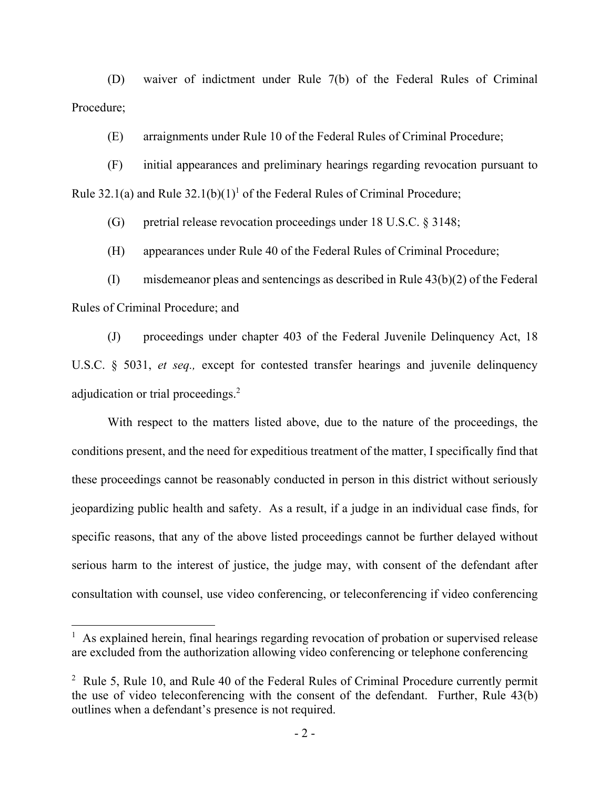(D) waiver of indictment under Rule 7(b) of the Federal Rules of Criminal Procedure;

(E) arraignments under Rule 10 of the Federal Rules of Criminal Procedure;

 (F) initial appearances and preliminary hearings regarding revocation pursuant to Rule 32.1(a) and Rule  $32.1(b)(1)^1$  of the Federal Rules of Criminal Procedure;

(G) pretrial release revocation proceedings under 18 U.S.C. § 3148;

(H) appearances under Rule 40 of the Federal Rules of Criminal Procedure;

 (I) misdemeanor pleas and sentencings as described in Rule 43(b)(2) of the Federal Rules of Criminal Procedure; and

 (J) proceedings under chapter 403 of the Federal Juvenile Delinquency Act, 18 U.S.C. § 5031, *et seq.,* except for contested transfer hearings and juvenile delinquency adjudication or trial proceedings.<sup>2</sup>

 With respect to the matters listed above, due to the nature of the proceedings, the conditions present, and the need for expeditious treatment of the matter, I specifically find that these proceedings cannot be reasonably conducted in person in this district without seriously jeopardizing public health and safety. As a result, if a judge in an individual case finds, for specific reasons, that any of the above listed proceedings cannot be further delayed without serious harm to the interest of justice, the judge may, with consent of the defendant after consultation with counsel, use video conferencing, or teleconferencing if video conferencing

<sup>&</sup>lt;sup>1</sup> As explained herein, final hearings regarding revocation of probation or supervised release are excluded from the authorization allowing video conferencing or telephone conferencing

<sup>&</sup>lt;sup>2</sup> Rule 5, Rule 10, and Rule 40 of the Federal Rules of Criminal Procedure currently permit the use of video teleconferencing with the consent of the defendant. Further, Rule 43(b) outlines when a defendant's presence is not required.